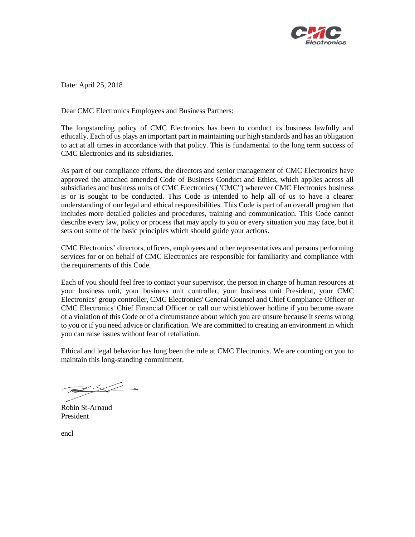

Date: April 25, 2018

Dear CMC Electronics Employees and Business Partners:

The longstanding policy of CMC Electronics has been to conduct its business lawfully and ethically. Each of us plays an important part in maintaining our high standards and has an obligation to act at all times in accordance with that policy. This is fundamental to the long term success of CMC Electronics and its subsidiaries.

As part of our compliance efforts, the directors and senior management of CMC Electronics have approved the attached amended Code of Business Conduct and Ethics, which applies across all subsidiaries and business units of CMC Electronics ("CMC") wherever CMC Electronics business is or is sought to be conducted. This Code is intended to help all of us to have a clearer understanding of our legal and ethical responsibilities. This Code is part of an overall program that includes more detailed policies and procedures, training and communication. This Code cannot describe every law, policy or process that may apply to you or every situation you may face, but it sets out some of the basic principles which should guide your actions.

CMC Electronics' directors, officers, employees and other representatives and persons performing services for or on behalf of CMC Electronics are responsible for familiarity and compliance with the requirements of this Code.

Each of you should feel free to contact your supervisor, the person in charge of human resources at your business unit, your business unit controller, your business unit President, your CMC Electronics' group controller, CMC Electronics' General Counsel and Chief Compliance Officer or CMC Electronics' Chief Financial Officer or call our whistleblower hotline if you become aware of a violation of this Code or of a circumstance about which you are unsure because it seems wrong to you or if you need advice or clarification. We are committed to creating an environment in which you can raise issues without fear of retaliation.

Ethical and legal behavior has long been the rule at CMC Electronics. We are counting on you to maintain this long-standing commitment.

 $\cancel{\cong}$  :  $\cancel{\leq}$ 

Robin St-Arnaud President

encl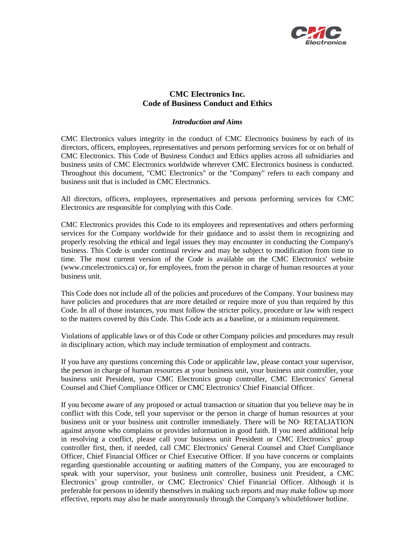

# **CMC Electronics Inc. Code of Business Conduct and Ethics**

## *Introduction and Aims*

CMC Electronics values integrity in the conduct of CMC Electronics business by each of its directors, officers, employees, representatives and persons performing services for or on behalf of CMC Electronics. This Code of Business Conduct and Ethics applies across all subsidiaries and business units of CMC Electronics worldwide wherever CMC Electronics business is conducted. Throughout this document, "CMC Electronics" or the "Company" refers to each company and business unit that is included in CMC Electronics.

All directors, officers, employees, representatives and persons performing services for CMC Electronics are responsible for complying with this Code.

CMC Electronics provides this Code to its employees and representatives and others performing services for the Company worldwide for their guidance and to assist them in recognizing and properly resolving the ethical and legal issues they may encounter in conducting the Company's business. This Code is under continual review and may be subject to modification from time to time. The most current version of the Code is available on the CMC Electronics' website (www.cmcelectronics.ca) or, for employees, from the person in charge of human resources at your business unit.

This Code does not include all of the policies and procedures of the Company. Your business may have policies and procedures that are more detailed or require more of you than required by this Code. In all of those instances, you must follow the stricter policy, procedure or law with respect to the matters covered by this Code. This Code acts as a baseline, or a minimum requirement.

Violations of applicable laws or of this Code or other Company policies and procedures may result in disciplinary action, which may include termination of employment and contracts.

If you have any questions concerning this Code or applicable law, please contact your supervisor, the person in charge of human resources at your business unit, your business unit controller, your business unit President, your CMC Electronics group controller, CMC Electronics' General Counsel and Chief Compliance Officer or CMC Electronics' Chief Financial Officer.

If you become aware of any proposed or actual transaction or situation that you believe may be in conflict with this Code, tell your supervisor or the person in charge of human resources at your business unit or your business unit controller immediately. There will be NO· RETALIATION against anyone who complains or provides information in good faith. If you need additional help in resolving a conflict, please call your business unit President or CMC Electronics' group controller first, then, if needed, call CMC Electronics' General Counsel and Chief Compliance Officer, Chief Financial Officer or Chief Executive Officer. If you have concerns or complaints regarding questionable accounting or auditing matters of the Company, you are encouraged to speak with your supervisor, your business unit controller, business unit President, a CMC Electronics' group controller, or CMC Electronics' Chief Financial Officer. Although it is preferable for persons to identify themselves in making such reports and may make follow up more effective, reports may also be made anonymously through the Company's whistleblower hotline.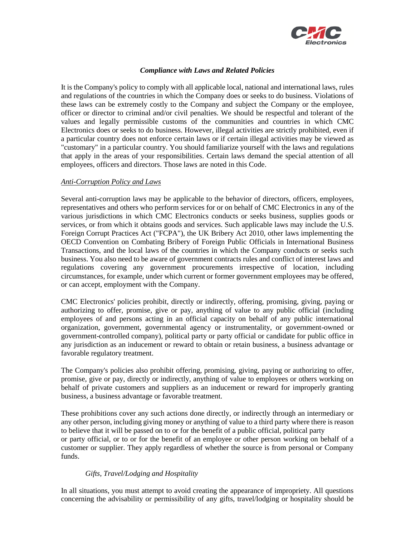

## *Compliance with Laws and Related Policies*

It is the Company's policy to comply with all applicable local, national and international laws, rules and regulations of the countries in which the Company does or seeks to do business. Violations of these laws can be extremely costly to the Company and subject the Company or the employee, officer or director to criminal and/or civil penalties. We should be respectful and tolerant of the values and legally permissible customs of the communities and countries in which CMC Electronics does or seeks to do business. However, illegal activities are strictly prohibited, even if a particular country does not enforce certain laws or if certain illegal activities may be viewed as "customary" in a particular country. You should familiarize yourself with the laws and regulations that apply in the areas of your responsibilities. Certain laws demand the special attention of all employees, officers and directors. Those laws are noted in this Code.

#### *Anti-Corruption Policy and Laws*

Several anti-corruption laws may be applicable to the behavior of directors, officers, employees, representatives and others who perform services for or on behalf of CMC Electronics in any of the various jurisdictions in which CMC Electronics conducts or seeks business, supplies goods or services, or from which it obtains goods and services. Such applicable laws may include the U.S. Foreign Corrupt Practices Act ("FCPA"), the UK Bribery Act 2010, other laws implementing the OECD Convention on Combating Bribery of Foreign Public Officials in International Business Transactions, and the local laws of the countries in which the Company conducts or seeks such business. You also need to be aware of government contracts rules and conflict of interest laws and regulations covering any government procurements irrespective of location, including circumstances, for example, under which current or former government employees may be offered, or can accept, employment with the Company.

CMC Electronics' policies prohibit, directly or indirectly, offering, promising, giving, paying or authorizing to offer, promise, give or pay, anything of value to any public official (including employees of and persons acting in an official capacity on behalf of any public international organization, government, governmental agency or instrumentality, or government-owned or government-controlled company), political party or party official or candidate for public office in any jurisdiction as an inducement or reward to obtain or retain business, a business advantage or favorable regulatory treatment.

The Company's policies also prohibit offering, promising, giving, paying or authorizing to offer, promise, give or pay, directly or indirectly, anything of value to employees or others working on behalf of private customers and suppliers as an inducement or reward for improperly granting business, a business advantage or favorable treatment.

These prohibitions cover any such actions done directly, or indirectly through an intermediary or any other person, including giving money or anything of value to a third party where there is reason to believe that it will be passed on to or for the benefit of a public official, political party or party official, or to or for the benefit of an employee or other person working on behalf of a customer or supplier. They apply regardless of whether the source is from personal or Company funds.

## *Gifts, Travel/Lodging and Hospitality*

In all situations, you must attempt to avoid creating the appearance of impropriety. All questions concerning the advisability or permissibility of any gifts, travel/lodging or hospitality should be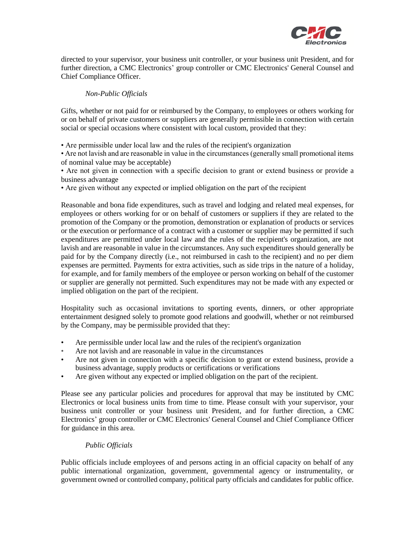

directed to your supervisor, your business unit controller, or your business unit President, and for further direction, a CMC Electronics' group controller or CMC Electronics' General Counsel and Chief Compliance Officer.

## *Non-Public Officials*

Gifts, whether or not paid for or reimbursed by the Company, to employees or others working for or on behalf of private customers or suppliers are generally permissible in connection with certain social or special occasions where consistent with local custom, provided that they:

• Are permissible under local law and the rules of the recipient's organization

• Are not lavish and are reasonable in value in the circumstances (generally small promotional items of nominal value may be acceptable)

• Are not given in connection with a specific decision to grant or extend business or provide a business advantage

• Are given without any expected or implied obligation on the part of the recipient

Reasonable and bona fide expenditures, such as travel and lodging and related meal expenses, for employees or others working for or on behalf of customers or suppliers if they are related to the promotion of the Company or the promotion, demonstration or explanation of products or services or the execution or performance of a contract with a customer or supplier may be permitted if such expenditures are permitted under local law and the rules of the recipient's organization, are not lavish and are reasonable in value in the circumstances. Any such expenditures should generally be paid for by the Company directly (i.e., not reimbursed in cash to the recipient) and no per diem expenses are permitted. Payments for extra activities, such as side trips in the nature of a holiday, for example, and for family members of the employee or person working on behalf of the customer or supplier are generally not permitted. Such expenditures may not be made with any expected or implied obligation on the part of the recipient.

Hospitality such as occasional invitations to sporting events, dinners, or other appropriate entertainment designed solely to promote good relations and goodwill, whether or not reimbursed by the Company, may be permissible provided that they:

- Are permissible under local law and the rules of the recipient's organization
- Are not lavish and are reasonable in value in the circumstances
- Are not given in connection with a specific decision to grant or extend business, provide a business advantage, supply products or certifications or verifications
- Are given without any expected or implied obligation on the part of the recipient.

Please see any particular policies and procedures for approval that may be instituted by CMC Electronics or local business units from time to time. Please consult with your supervisor, your business unit controller or your business unit President, and for further direction, a CMC Electronics' group controller or CMC Electronics' General Counsel and Chief Compliance Officer for guidance in this area.

## *Public Officials*

Public officials include employees of and persons acting in an official capacity on behalf of any public international organization, government, governmental agency or instrumentality, or government owned or controlled company, political party officials and candidates for public office.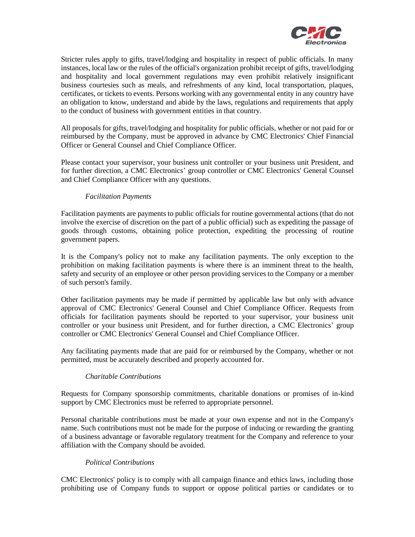

Stricter rules apply to gifts, travel/lodging and hospitality in respect of public officials. In many instances, local law or the rules of the official's organization prohibit receipt of gifts, travel/lodging and hospitality and local government regulations may even prohibit relatively insignificant business courtesies such as meals, and refreshments of any kind, local transportation, plaques, certificates, or tickets to events. Persons working with any governmental entity in any country have an obligation to know, understand and abide by the laws, regulations and requirements that apply to the conduct of business with government entities in that country.

All proposals for gifts, travel/lodging and hospitality for public officials, whether or not paid for or reimbursed by the Company, must be approved in advance by CMC Electronics' Chief Financial Officer or General Counsel and Chief Compliance Officer.

Please contact your supervisor, your business unit controller or your business unit President, and for further direction, a CMC Electronics' group controller or CMC Electronics' General Counsel and Chief Compliance Officer with any questions.

## *Facilitation Payments*

Facilitation payments are payments to public officials for routine governmental actions (that do not involve the exercise of discretion on the part of a public official) such as expediting the passage of goods through customs, obtaining police protection, expediting the processing of routine government papers.

It is the Company's policy not to make any facilitation payments. The only exception to the prohibition on making facilitation payments is where there is an imminent threat to the health, safety and security of an employee or other person providing services to the Company or a member of such person's family.

Other facilitation payments may be made if permitted by applicable law but only with advance approval of CMC Electronics' General Counsel and Chief Compliance Officer. Requests from officials for facilitation payments should be reported to your supervisor, your business unit controller or your business unit President, and for further direction, a CMC Electronics' group controller or CMC Electronics' General Counsel and Chief Compliance Officer.

Any facilitating payments made that are paid for or reimbursed by the Company, whether or not permitted, must be accurately described and properly accounted for.

## *Charitable Contributions*

Requests for Company sponsorship commitments, charitable donations or promises of in-kind support by CMC Electronics must be referred to appropriate personnel.

Personal charitable contributions must be made at your own expense and not in the Company's name. Such contributions must not be made for the purpose of inducing or rewarding the granting of a business advantage or favorable regulatory treatment for the Company and reference to your affiliation with the Company should be avoided.

## *Political Contributions*

CMC Electronics' policy is to comply with all campaign finance and ethics laws, including those prohibiting use of Company funds to support or oppose political parties or candidates or to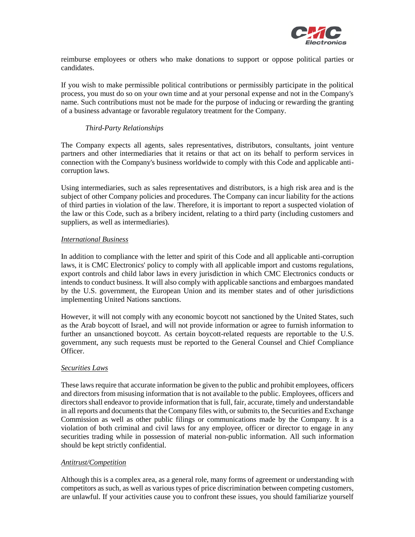

reimburse employees or others who make donations to support or oppose political parties or candidates.

If you wish to make permissible political contributions or permissibly participate in the political process, you must do so on your own time and at your personal expense and not in the Company's name. Such contributions must not be made for the purpose of inducing or rewarding the granting of a business advantage or favorable regulatory treatment for the Company.

## *Third-Party Relationships*

The Company expects all agents, sales representatives, distributors, consultants, joint venture partners and other intermediaries that it retains or that act on its behalf to perform services in connection with the Company's business worldwide to comply with this Code and applicable anticorruption laws.

Using intermediaries, such as sales representatives and distributors, is a high risk area and is the subject of other Company policies and procedures. The Company can incur liability for the actions of third parties in violation of the law. Therefore, it is important to report a suspected violation of the law or this Code, such as a bribery incident, relating to a third party (including customers and suppliers, as well as intermediaries).

## *International Business*

In addition to compliance with the letter and spirit of this Code and all applicable anti-corruption laws, it is CMC Electronics' policy to comply with all applicable import and customs regulations, export controls and child labor laws in every jurisdiction in which CMC Electronics conducts or intends to conduct business. It will also comply with applicable sanctions and embargoes mandated by the U.S. government, the European Union and its member states and of other jurisdictions implementing United Nations sanctions.

However, it will not comply with any economic boycott not sanctioned by the United States, such as the Arab boycott of Israel, and will not provide information or agree to furnish information to further an unsanctioned boycott. As certain boycott-related requests are reportable to the U.S. government, any such requests must be reported to the General Counsel and Chief Compliance Officer.

## *Securities Laws*

These laws require that accurate information be given to the public and prohibit employees, officers and directors from misusing information that is not available to the public. Employees, officers and directors shall endeavor to provide information that is full, fair, accurate, timely and understandable in all reports and documents that the Company files with, or submits to, the Securities and Exchange Commission as well as other public filings or communications made by the Company. It is a violation of both criminal and civil laws for any employee, officer or director to engage in any securities trading while in possession of material non-public information. All such information should be kept strictly confidential.

## *Antitrust/Competition*

Although this is a complex area, as a general role, many forms of agreement or understanding with competitors as such, as well as various types of price discrimination between competing customers, are unlawful. If your activities cause you to confront these issues, you should familiarize yourself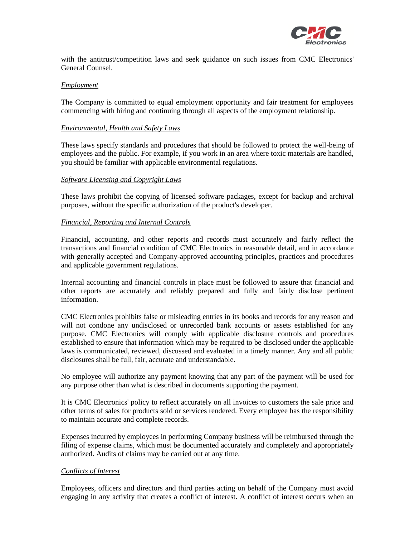

with the antitrust/competition laws and seek guidance on such issues from CMC Electronics' General Counsel.

#### *Employment*

The Company is committed to equal employment opportunity and fair treatment for employees commencing with hiring and continuing through all aspects of the employment relationship.

#### *Environmental, Health and Safety Laws*

These laws specify standards and procedures that should be followed to protect the well-being of employees and the public. For example, if you work in an area where toxic materials are handled, you should be familiar with applicable environmental regulations.

#### *Software Licensing and Copyright Laws*

These laws prohibit the copying of licensed software packages, except for backup and archival purposes, without the specific authorization of the product's developer.

#### *Financial, Reporting and Internal Controls*

Financial, accounting, and other reports and records must accurately and fairly reflect the transactions and financial condition of CMC Electronics in reasonable detail, and in accordance with generally accepted and Company-approved accounting principles, practices and procedures and applicable government regulations.

Internal accounting and financial controls in place must be followed to assure that financial and other reports are accurately and reliably prepared and fully and fairly disclose pertinent information.

CMC Electronics prohibits false or misleading entries in its books and records for any reason and will not condone any undisclosed or unrecorded bank accounts or assets established for any purpose. CMC Electronics will comply with applicable disclosure controls and procedures established to ensure that information which may be required to be disclosed under the applicable laws is communicated, reviewed, discussed and evaluated in a timely manner. Any and all public disclosures shall be full, fair, accurate and understandable.

No employee will authorize any payment knowing that any part of the payment will be used for any purpose other than what is described in documents supporting the payment.

It is CMC Electronics' policy to reflect accurately on all invoices to customers the sale price and other terms of sales for products sold or services rendered. Every employee has the responsibility to maintain accurate and complete records.

Expenses incurred by employees in performing Company business will be reimbursed through the filing of expense claims, which must be documented accurately and completely and appropriately authorized. Audits of claims may be carried out at any time.

## *Conflicts of lnterest*

Employees, officers and directors and third parties acting on behalf of the Company must avoid engaging in any activity that creates a conflict of interest. A conflict of interest occurs when an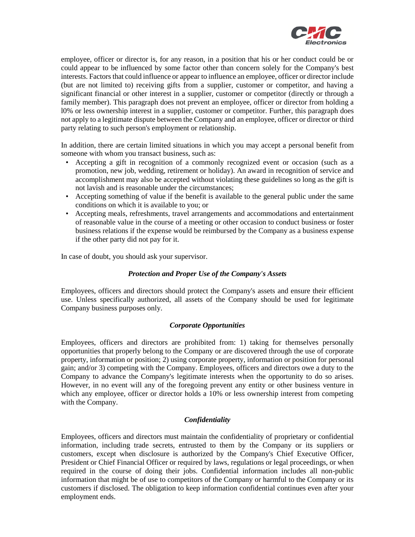

employee, officer or director is, for any reason, in a position that his or her conduct could be or could appear to be influenced by some factor other than concern solely for the Company's best interests. Factors that could influence or appear to influence an employee, officer or director include (but are not limited to) receiving gifts from a supplier, customer or competitor, and having a significant financial or other interest in a supplier, customer or competitor (directly or through a family member). This paragraph does not prevent an employee, officer or director from holding a l0% or less ownership interest in a supplier, customer or competitor. Further, this paragraph does not apply to a legitimate dispute between the Company and an employee, officer or director or third party relating to such person's employment or relationship.

In addition, there are certain limited situations in which you may accept a personal benefit from someone with whom you transact business, such as:

- Accepting a gift in recognition of a commonly recognized event or occasion (such as a promotion, new job, wedding, retirement or holiday). An award in recognition of service and accomplishment may also be accepted without violating these guidelines so long as the gift is not lavish and is reasonable under the circumstances;
- Accepting something of value if the benefit is available to the general public under the same conditions on which it is available to you; or
- Accepting meals, refreshments, travel arrangements and accommodations and entertainment of reasonable value in the course of a meeting or other occasion to conduct business or foster business relations if the expense would be reimbursed by the Company as a business expense if the other party did not pay for it.

In case of doubt, you should ask your supervisor.

## *Protection and Proper Use of the Company's Assets*

Employees, officers and directors should protect the Company's assets and ensure their efficient use. Unless specifically authorized, all assets of the Company should be used for legitimate Company business purposes only.

#### *Corporate Opportunities*

Employees, officers and directors are prohibited from: 1) taking for themselves personally opportunities that properly belong to the Company or are discovered through the use of corporate property, information or position; 2) using corporate property, information or position for personal gain; and/or 3) competing with the Company. Employees, officers and directors owe a duty to the Company to advance the Company's legitimate interests when the opportunity to do so arises. However, in no event will any of the foregoing prevent any entity or other business venture in which any employee, officer or director holds a 10% or less ownership interest from competing with the Company.

## *Confidentiality*

Employees, officers and directors must maintain the confidentiality of proprietary or confidential information, including trade secrets, entrusted to them by the Company or its suppliers or customers, except when disclosure is authorized by the Company's Chief Executive Officer, President or Chief Financial Officer or required by laws, regulations or legal proceedings, or when required in the course of doing their jobs. Confidential information includes all non-public information that might be of use to competitors of the Company or harmful to the Company or its customers if disclosed. The obligation to keep information confidential continues even after your employment ends.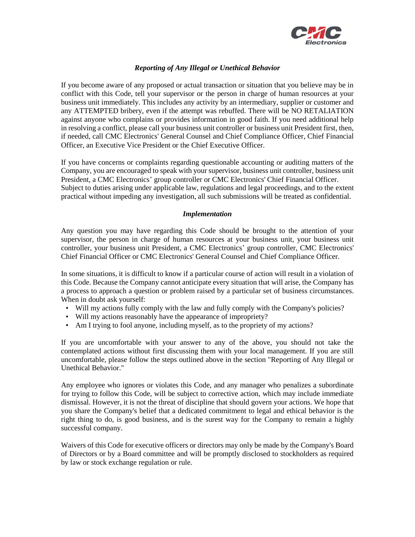

## *Reporting of Any Illegal or Unethical Behavior*

If you become aware of any proposed or actual transaction or situation that you believe may be in conflict with this Code, tell your supervisor or the person in charge of human resources at your business unit immediately. This includes any activity by an intermediary, supplier or customer and any ATTEMPTED bribery, even if the attempt was rebuffed. There will be NO RETALIATION against anyone who complains or provides information in good faith. If you need additional help in resolving a conflict, please call your business unit controller or business unit President first, then, if needed, call CMC Electronics' General Counsel and Chief Compliance Officer, Chief Financial Officer, an Executive Vice President or the Chief Executive Officer.

If you have concerns or complaints regarding questionable accounting or auditing matters of the Company, you are encouraged to speak with your supervisor, business unit controller, business unit President, a CMC Electronics' group controller or CMC Electronics' Chief Financial Officer. Subject to duties arising under applicable law, regulations and legal proceedings, and to the extent practical without impeding any investigation, all such submissions will be treated as confidential.

#### *Implementation*

Any question you may have regarding this Code should be brought to the attention of your supervisor, the person in charge of human resources at your business unit, your business unit controller, your business unit President, a CMC Electronics' group controller, CMC Electronics' Chief Financial Officer or CMC Electronics' General Counsel and Chief Compliance Officer.

In some situations, it is difficult to know if a particular course of action will result in a violation of this Code. Because the Company cannot anticipate every situation that will arise, the Company has a process to approach a question or problem raised by a particular set of business circumstances. When in doubt ask yourself:

- Will my actions fully comply with the law and fully comply with the Company's policies?
- Will my actions reasonably have the appearance of impropriety?
- Am I trying to fool anyone, including myself, as to the propriety of my actions?

If you are uncomfortable with your answer to any of the above, you should not take the contemplated actions without first discussing them with your local management. If you are still uncomfortable, please follow the steps outlined above in the section "Reporting of Any Illegal or Unethical Behavior."

Any employee who ignores or violates this Code, and any manager who penalizes a subordinate for trying to follow this Code, will be subject to corrective action, which may include immediate dismissal. However, it is not the threat of discipline that should govern your actions. We hope that you share the Company's belief that a dedicated commitment to legal and ethical behavior is the right thing to do, is good business, and is the surest way for the Company to remain a highly successful company.

Waivers of this Code for executive officers or directors may only be made by the Company's Board of Directors or by a Board committee and will be promptly disclosed to stockholders as required by law or stock exchange regulation or rule.